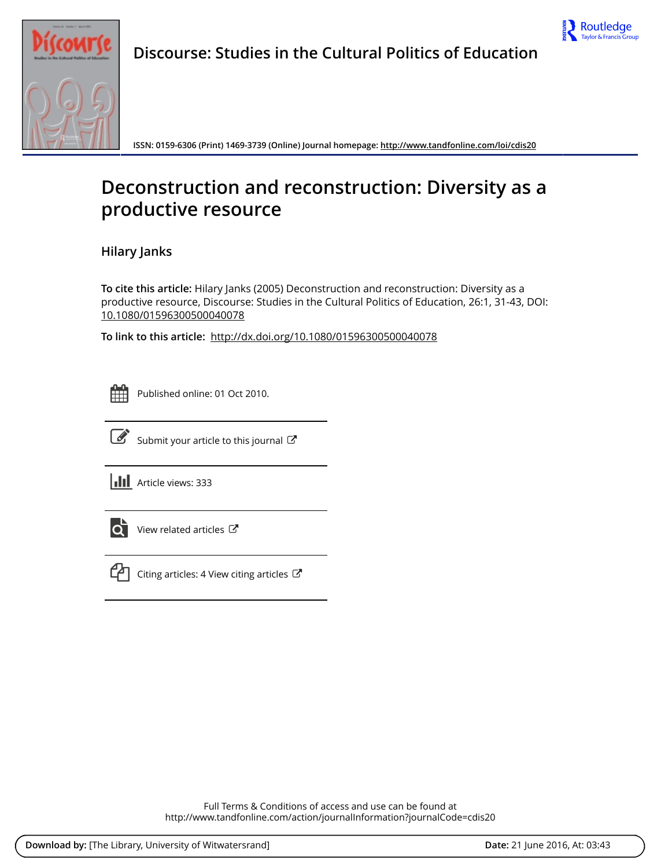



**ISSN: 0159-6306 (Print) 1469-3739 (Online) Journal homepage:<http://www.tandfonline.com/loi/cdis20>**

# **Deconstruction and reconstruction: Diversity as a productive resource**

**Hilary Janks**

**To cite this article:** Hilary Janks (2005) Deconstruction and reconstruction: Diversity as a productive resource, Discourse: Studies in the Cultural Politics of Education, 26:1, 31-43, DOI: [10.1080/01596300500040078](http://www.tandfonline.com/action/showCitFormats?doi=10.1080/01596300500040078)

**To link to this article:** <http://dx.doi.org/10.1080/01596300500040078>

|  | - |  |
|--|---|--|
|  |   |  |
|  |   |  |
|  |   |  |

Published online: 01 Oct 2010.



 $\overrightarrow{S}$  [Submit your article to this journal](http://www.tandfonline.com/action/authorSubmission?journalCode=cdis20&page=instructions)  $G$ 

**III** Article views: 333



 $\overrightarrow{Q}$  [View related articles](http://www.tandfonline.com/doi/mlt/10.1080/01596300500040078)  $\overrightarrow{C}$ 



[Citing articles: 4 View citing articles](http://www.tandfonline.com/doi/citedby/10.1080/01596300500040078#tabModule)  $\mathbb{Z}$ 

Full Terms & Conditions of access and use can be found at <http://www.tandfonline.com/action/journalInformation?journalCode=cdis20>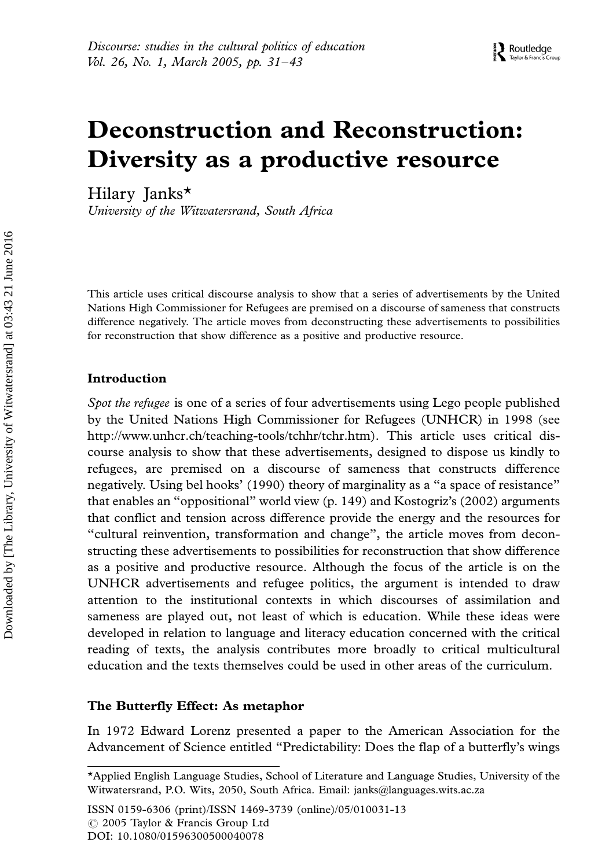# Deconstruction and Reconstruction: Diversity as a productive resource

Hilary Janks\*

University of the Witwatersrand, South Africa

This article uses critical discourse analysis to show that a series of advertisements by the United Nations High Commissioner for Refugees are premised on a discourse of sameness that constructs difference negatively. The article moves from deconstructing these advertisements to possibilities for reconstruction that show difference as a positive and productive resource.

#### Introduction

Spot the refugee is one of a series of four advertisements using Lego people published by the United Nations High Commissioner for Refugees (UNHCR) in 1998 (see http://www.unhcr.ch/teaching-tools/tchhr/tchr.htm). This article uses critical discourse analysis to show that these advertisements, designed to dispose us kindly to refugees, are premised on a discourse of sameness that constructs difference negatively. Using bel hooks' (1990) theory of marginality as a ''a space of resistance'' that enables an ''oppositional'' world view (p. 149) and Kostogriz's (2002) arguments that conflict and tension across difference provide the energy and the resources for ''cultural reinvention, transformation and change'', the article moves from deconstructing these advertisements to possibilities for reconstruction that show difference as a positive and productive resource. Although the focus of the article is on the UNHCR advertisements and refugee politics, the argument is intended to draw attention to the institutional contexts in which discourses of assimilation and sameness are played out, not least of which is education. While these ideas were developed in relation to language and literacy education concerned with the critical reading of texts, the analysis contributes more broadly to critical multicultural education and the texts themselves could be used in other areas of the curriculum.

#### The Butterfly Effect: As metaphor

In 1972 Edward Lorenz presented a paper to the American Association for the Advancement of Science entitled ''Predictability: Does the flap of a butterfly's wings

ISSN 0159-6306 (print)/ISSN 1469-3739 (online)/05/010031-13  $\odot$  2005 Taylor & Francis Group Ltd DOI: 10.1080/01596300500040078

<sup>\*</sup>Applied English Language Studies, School of Literature and Language Studies, University of the Witwatersrand, P.O. Wits, 2050, South Africa. Email: janks@languages.wits.ac.za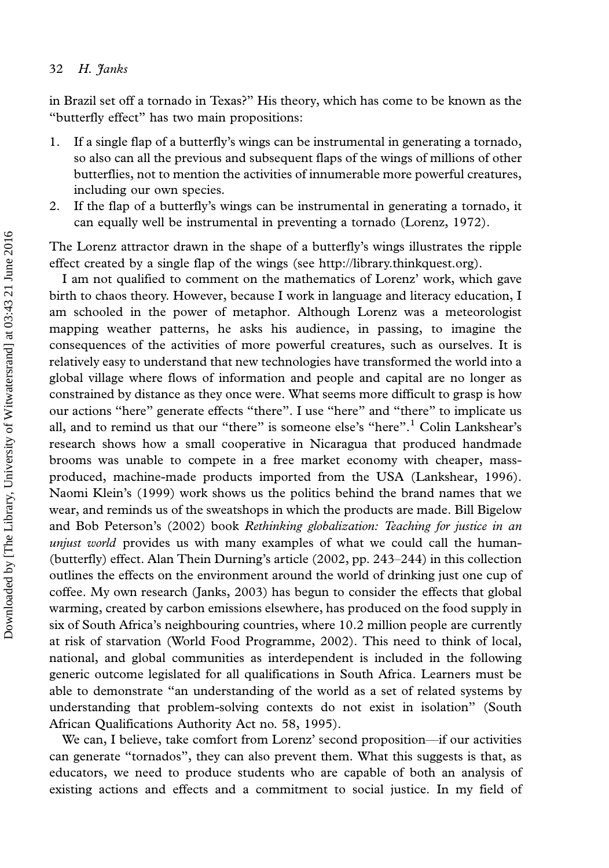#### 32 H. Janks

in Brazil set off a tornado in Texas?'' His theory, which has come to be known as the ''butterfly effect'' has two main propositions:

- 1. If a single flap of a butterfly's wings can be instrumental in generating a tornado, so also can all the previous and subsequent flaps of the wings of millions of other butterflies, not to mention the activities of innumerable more powerful creatures, including our own species.
- 2. If the flap of a butterfly's wings can be instrumental in generating a tornado, it can equally well be instrumental in preventing a tornado (Lorenz, 1972).

The Lorenz attractor drawn in the shape of a butterfly's wings illustrates the ripple effect created by a single flap of the wings (see http://library.thinkquest.org).

I am not qualified to comment on the mathematics of Lorenz' work, which gave birth to chaos theory. However, because I work in language and literacy education, I am schooled in the power of metaphor. Although Lorenz was a meteorologist mapping weather patterns, he asks his audience, in passing, to imagine the consequences of the activities of more powerful creatures, such as ourselves. It is relatively easy to understand that new technologies have transformed the world into a global village where flows of information and people and capital are no longer as constrained by distance as they once were. What seems more difficult to grasp is how our actions ''here'' generate effects ''there''. I use ''here'' and ''there'' to implicate us all, and to remind us that our "there" is someone else's "here".<sup>1</sup> Colin Lankshear's research shows how a small cooperative in Nicaragua that produced handmade brooms was unable to compete in a free market economy with cheaper, massproduced, machine-made products imported from the USA (Lankshear, 1996). Naomi Klein's (1999) work shows us the politics behind the brand names that we wear, and reminds us of the sweatshops in which the products are made. Bill Bigelow and Bob Peterson's (2002) book Rethinking globalization: Teaching for justice in an unjust world provides us with many examples of what we could call the human-(butterfly) effect. Alan Thein Durning's article  $(2002, pp. 243-244)$  in this collection outlines the effects on the environment around the world of drinking just one cup of coffee. My own research (Janks, 2003) has begun to consider the effects that global warming, created by carbon emissions elsewhere, has produced on the food supply in six of South Africa's neighbouring countries, where 10.2 million people are currently at risk of starvation (World Food Programme, 2002). This need to think of local, national, and global communities as interdependent is included in the following generic outcome legislated for all qualifications in South Africa. Learners must be able to demonstrate ''an understanding of the world as a set of related systems by understanding that problem-solving contexts do not exist in isolation'' (South African Qualifications Authority Act no. 58, 1995).

We can, I believe, take comfort from Lorenz' second proposition—if our activities can generate ''tornados'', they can also prevent them. What this suggests is that, as educators, we need to produce students who are capable of both an analysis of existing actions and effects and a commitment to social justice. In my field of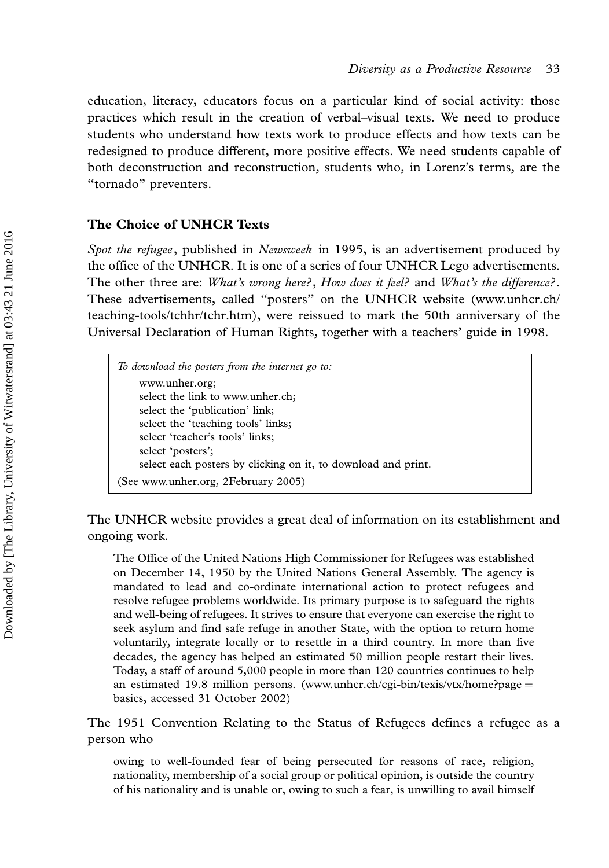education, literacy, educators focus on a particular kind of social activity: those practices which result in the creation of verbal-visual texts. We need to produce students who understand how texts work to produce effects and how texts can be redesigned to produce different, more positive effects. We need students capable of both deconstruction and reconstruction, students who, in Lorenz's terms, are the ''tornado'' preventers.

### The Choice of UNHCR Texts

Spot the refugee, published in Newsweek in 1995, is an advertisement produced by the office of the UNHCR. It is one of a series of four UNHCR Lego advertisements. The other three are: What's wrong here?, How does it feel? and What's the difference?. These advertisements, called ''posters'' on the UNHCR website (www.unhcr.ch/ teaching-tools/tchhr/tchr.htm), were reissued to mark the 50th anniversary of the Universal Declaration of Human Rights, together with a teachers' guide in 1998.

To download the posters from the internet go to: www.unher.org; select the link to www.unher.ch; select the 'publication' link; select the 'teaching tools' links; select 'teacher's tools' links; select 'posters'; select each posters by clicking on it, to download and print. (See www.unher.org, 2February 2005)

The UNHCR website provides a great deal of information on its establishment and ongoing work.

The Office of the United Nations High Commissioner for Refugees was established on December 14, 1950 by the United Nations General Assembly. The agency is mandated to lead and co-ordinate international action to protect refugees and resolve refugee problems worldwide. Its primary purpose is to safeguard the rights and well-being of refugees. It strives to ensure that everyone can exercise the right to seek asylum and find safe refuge in another State, with the option to return home voluntarily, integrate locally or to resettle in a third country. In more than five decades, the agency has helped an estimated 50 million people restart their lives. Today, a staff of around 5,000 people in more than 120 countries continues to help an estimated 19.8 million persons. (www.unhcr.ch/cgi-bin/texis/vtx/home?page = basics, accessed 31 October 2002)

The 1951 Convention Relating to the Status of Refugees defines a refugee as a person who

owing to well-founded fear of being persecuted for reasons of race, religion, nationality, membership of a social group or political opinion, is outside the country of his nationality and is unable or, owing to such a fear, is unwilling to avail himself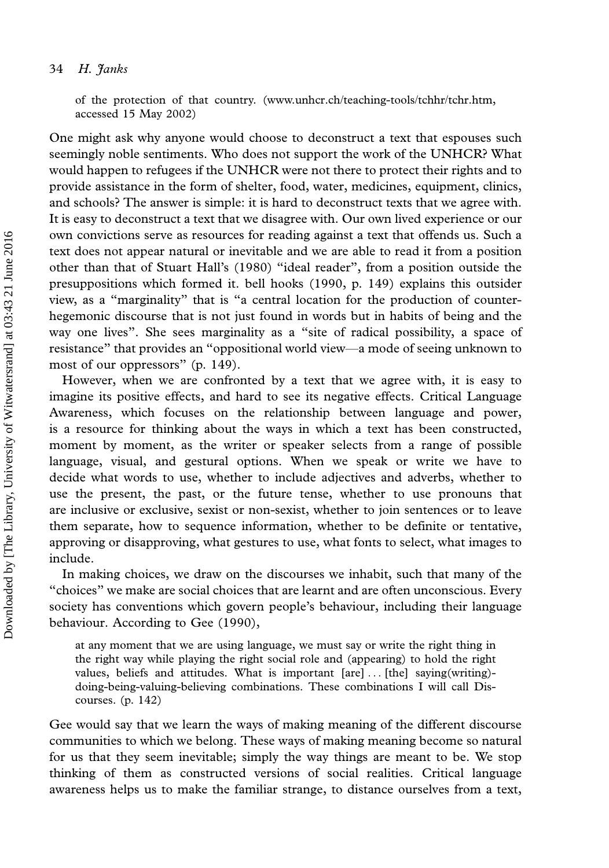of the protection of that country. (www.unhcr.ch/teaching-tools/tchhr/tchr.htm, accessed 15 May 2002)

One might ask why anyone would choose to deconstruct a text that espouses such seemingly noble sentiments. Who does not support the work of the UNHCR? What would happen to refugees if the UNHCR were not there to protect their rights and to provide assistance in the form of shelter, food, water, medicines, equipment, clinics, and schools? The answer is simple: it is hard to deconstruct texts that we agree with. It is easy to deconstruct a text that we disagree with. Our own lived experience or our own convictions serve as resources for reading against a text that offends us. Such a text does not appear natural or inevitable and we are able to read it from a position other than that of Stuart Hall's (1980) ''ideal reader'', from a position outside the presuppositions which formed it. bell hooks (1990, p. 149) explains this outsider view, as a ''marginality'' that is ''a central location for the production of counterhegemonic discourse that is not just found in words but in habits of being and the way one lives''. She sees marginality as a ''site of radical possibility, a space of resistance'' that provides an ''oppositional world view\*/a mode of seeing unknown to most of our oppressors'' (p. 149).

However, when we are confronted by a text that we agree with, it is easy to imagine its positive effects, and hard to see its negative effects. Critical Language Awareness, which focuses on the relationship between language and power, is a resource for thinking about the ways in which a text has been constructed, moment by moment, as the writer or speaker selects from a range of possible language, visual, and gestural options. When we speak or write we have to decide what words to use, whether to include adjectives and adverbs, whether to use the present, the past, or the future tense, whether to use pronouns that are inclusive or exclusive, sexist or non-sexist, whether to join sentences or to leave them separate, how to sequence information, whether to be definite or tentative, approving or disapproving, what gestures to use, what fonts to select, what images to include.

In making choices, we draw on the discourses we inhabit, such that many of the ''choices'' we make are social choices that are learnt and are often unconscious. Every society has conventions which govern people's behaviour, including their language behaviour. According to Gee (1990),

at any moment that we are using language, we must say or write the right thing in the right way while playing the right social role and (appearing) to hold the right values, beliefs and attitudes. What is important [are] ... [the] saying(writing) doing-being-valuing-believing combinations. These combinations I will call Discourses. (p. 142)

Gee would say that we learn the ways of making meaning of the different discourse communities to which we belong. These ways of making meaning become so natural for us that they seem inevitable; simply the way things are meant to be. We stop thinking of them as constructed versions of social realities. Critical language awareness helps us to make the familiar strange, to distance ourselves from a text,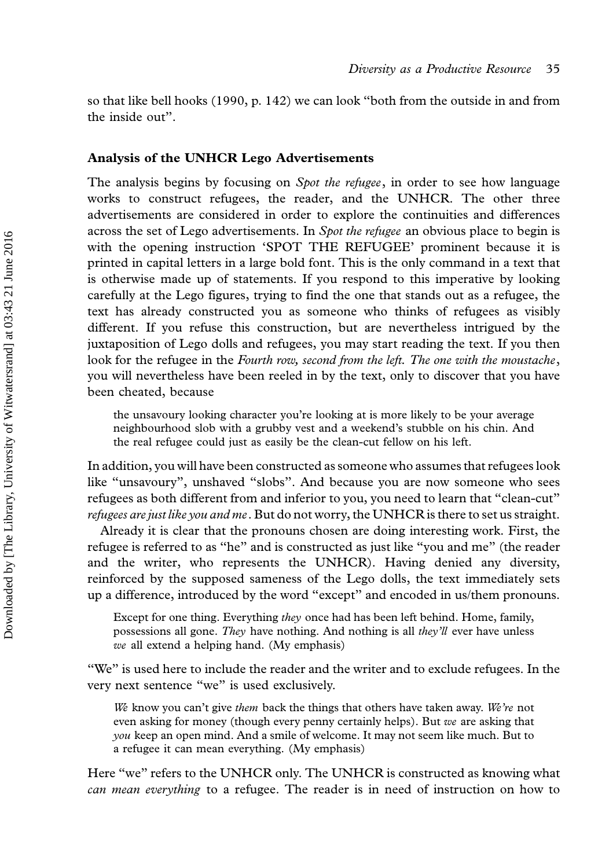so that like bell hooks (1990, p. 142) we can look ''both from the outside in and from the inside out''.

#### Analysis of the UNHCR Lego Advertisements

The analysis begins by focusing on *Spot the refugee*, in order to see how language works to construct refugees, the reader, and the UNHCR. The other three advertisements are considered in order to explore the continuities and differences across the set of Lego advertisements. In Spot the refugee an obvious place to begin is with the opening instruction 'SPOT THE REFUGEE' prominent because it is printed in capital letters in a large bold font. This is the only command in a text that is otherwise made up of statements. If you respond to this imperative by looking carefully at the Lego figures, trying to find the one that stands out as a refugee, the text has already constructed you as someone who thinks of refugees as visibly different. If you refuse this construction, but are nevertheless intrigued by the juxtaposition of Lego dolls and refugees, you may start reading the text. If you then look for the refugee in the Fourth row, second from the left. The one with the moustache, you will nevertheless have been reeled in by the text, only to discover that you have been cheated, because

the unsavoury looking character you're looking at is more likely to be your average neighbourhood slob with a grubby vest and a weekend's stubble on his chin. And the real refugee could just as easily be the clean-cut fellow on his left.

In addition, you will have been constructed as someone who assumes that refugees look like ''unsavoury'', unshaved ''slobs''. And because you are now someone who sees refugees as both different from and inferior to you, you need to learn that ''clean-cut'' refugees are just like you and me. But do not worry, the UNHCR is there to set us straight.

Already it is clear that the pronouns chosen are doing interesting work. First, the refugee is referred to as ''he'' and is constructed as just like ''you and me'' (the reader and the writer, who represents the UNHCR). Having denied any diversity, reinforced by the supposed sameness of the Lego dolls, the text immediately sets up a difference, introduced by the word ''except'' and encoded in us/them pronouns.

Except for one thing. Everything they once had has been left behind. Home, family, possessions all gone. They have nothing. And nothing is all they'll ever have unless we all extend a helping hand. (My emphasis)

''We'' is used here to include the reader and the writer and to exclude refugees. In the very next sentence "we" is used exclusively.

We know you can't give them back the things that others have taken away. We're not even asking for money (though every penny certainly helps). But we are asking that you keep an open mind. And a smile of welcome. It may not seem like much. But to a refugee it can mean everything. (My emphasis)

Here "we" refers to the UNHCR only. The UNHCR is constructed as knowing what can mean everything to a refugee. The reader is in need of instruction on how to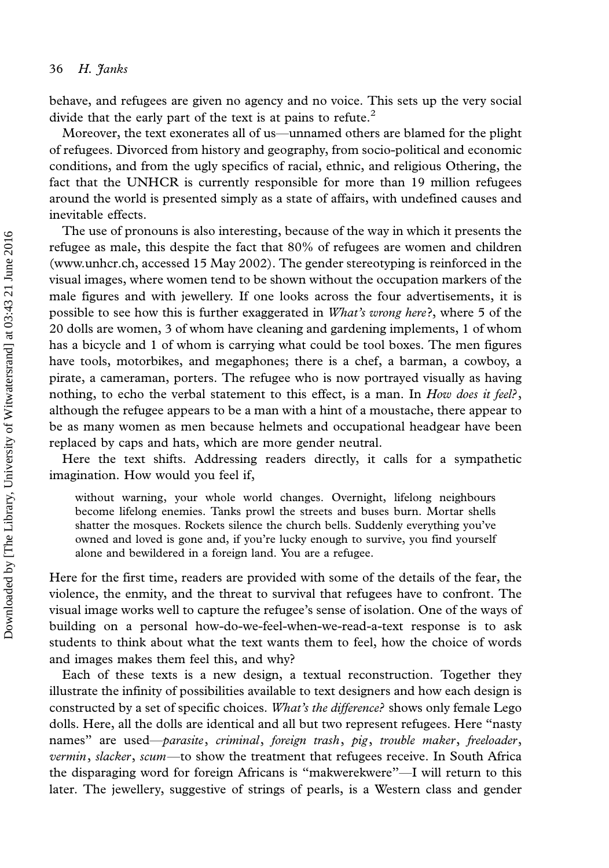behave, and refugees are given no agency and no voice. This sets up the very social divide that the early part of the text is at pains to refute.<sup>2</sup>

Moreover, the text exonerates all of us—unnamed others are blamed for the plight of refugees. Divorced from history and geography, from socio-political and economic conditions, and from the ugly specifics of racial, ethnic, and religious Othering, the fact that the UNHCR is currently responsible for more than 19 million refugees around the world is presented simply as a state of affairs, with undefined causes and inevitable effects.

The use of pronouns is also interesting, because of the way in which it presents the refugee as male, this despite the fact that 80% of refugees are women and children (www.unhcr.ch, accessed 15 May 2002). The gender stereotyping is reinforced in the visual images, where women tend to be shown without the occupation markers of the male figures and with jewellery. If one looks across the four advertisements, it is possible to see how this is further exaggerated in What's wrong here?, where 5 of the 20 dolls are women, 3 of whom have cleaning and gardening implements, 1 of whom has a bicycle and 1 of whom is carrying what could be tool boxes. The men figures have tools, motorbikes, and megaphones; there is a chef, a barman, a cowboy, a pirate, a cameraman, porters. The refugee who is now portrayed visually as having nothing, to echo the verbal statement to this effect, is a man. In *How does it feel*?, although the refugee appears to be a man with a hint of a moustache, there appear to be as many women as men because helmets and occupational headgear have been replaced by caps and hats, which are more gender neutral.

Here the text shifts. Addressing readers directly, it calls for a sympathetic imagination. How would you feel if,

without warning, your whole world changes. Overnight, lifelong neighbours become lifelong enemies. Tanks prowl the streets and buses burn. Mortar shells shatter the mosques. Rockets silence the church bells. Suddenly everything you've owned and loved is gone and, if you're lucky enough to survive, you find yourself alone and bewildered in a foreign land. You are a refugee.

Here for the first time, readers are provided with some of the details of the fear, the violence, the enmity, and the threat to survival that refugees have to confront. The visual image works well to capture the refugee's sense of isolation. One of the ways of building on a personal how-do-we-feel-when-we-read-a-text response is to ask students to think about what the text wants them to feel, how the choice of words and images makes them feel this, and why?

Each of these texts is a new design, a textual reconstruction. Together they illustrate the infinity of possibilities available to text designers and how each design is constructed by a set of specific choices. What's the difference? shows only female Lego dolls. Here, all the dolls are identical and all but two represent refugees. Here ''nasty names" are used—parasite, criminal, foreign trash, pig, trouble maker, freeloader, vermin, slacker, scum—to show the treatment that refugees receive. In South Africa the disparaging word for foreign Africans is "makwerekwere"—I will return to this later. The jewellery, suggestive of strings of pearls, is a Western class and gender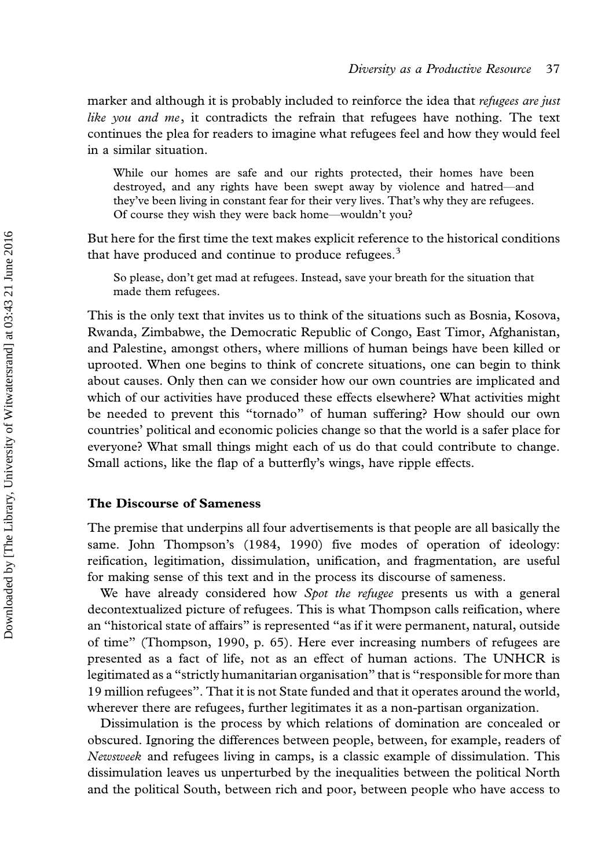marker and although it is probably included to reinforce the idea that *refugees are just* like you and me, it contradicts the refrain that refugees have nothing. The text continues the plea for readers to imagine what refugees feel and how they would feel in a similar situation.

While our homes are safe and our rights protected, their homes have been destroyed, and any rights have been swept away by violence and hatred—and they've been living in constant fear for their very lives. That's why they are refugees. Of course they wish they were back home—wouldn't you?

But here for the first time the text makes explicit reference to the historical conditions that have produced and continue to produce refugees.<sup>3</sup>

So please, don't get mad at refugees. Instead, save your breath for the situation that made them refugees.

This is the only text that invites us to think of the situations such as Bosnia, Kosova, Rwanda, Zimbabwe, the Democratic Republic of Congo, East Timor, Afghanistan, and Palestine, amongst others, where millions of human beings have been killed or uprooted. When one begins to think of concrete situations, one can begin to think about causes. Only then can we consider how our own countries are implicated and which of our activities have produced these effects elsewhere? What activities might be needed to prevent this ''tornado'' of human suffering? How should our own countries' political and economic policies change so that the world is a safer place for everyone? What small things might each of us do that could contribute to change. Small actions, like the flap of a butterfly's wings, have ripple effects.

#### The Discourse of Sameness

The premise that underpins all four advertisements is that people are all basically the same. John Thompson's (1984, 1990) five modes of operation of ideology: reification, legitimation, dissimulation, unification, and fragmentation, are useful for making sense of this text and in the process its discourse of sameness.

We have already considered how Spot the refugee presents us with a general decontextualized picture of refugees. This is what Thompson calls reification, where an ''historical state of affairs'' is represented ''as if it were permanent, natural, outside of time'' (Thompson, 1990, p. 65). Here ever increasing numbers of refugees are presented as a fact of life, not as an effect of human actions. The UNHCR is legitimated as a ''strictly humanitarian organisation'' that is ''responsible for more than 19 million refugees''. That it is not State funded and that it operates around the world, wherever there are refugees, further legitimates it as a non-partisan organization.

Dissimulation is the process by which relations of domination are concealed or obscured. Ignoring the differences between people, between, for example, readers of Newsweek and refugees living in camps, is a classic example of dissimulation. This dissimulation leaves us unperturbed by the inequalities between the political North and the political South, between rich and poor, between people who have access to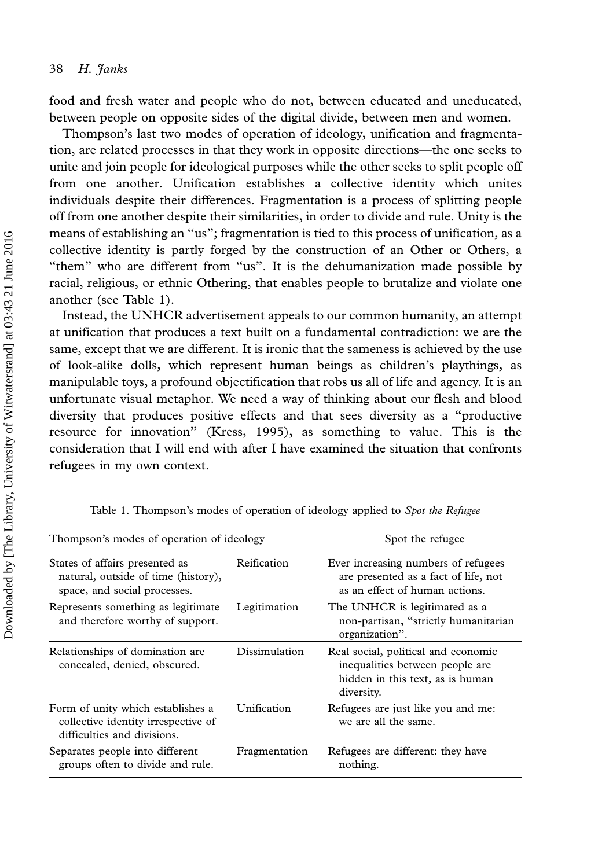food and fresh water and people who do not, between educated and uneducated, between people on opposite sides of the digital divide, between men and women.

Thompson's last two modes of operation of ideology, unification and fragmentation, are related processes in that they work in opposite directions—the one seeks to unite and join people for ideological purposes while the other seeks to split people off from one another. Unification establishes a collective identity which unites individuals despite their differences. Fragmentation is a process of splitting people off from one another despite their similarities, in order to divide and rule. Unity is the means of establishing an ''us''; fragmentation is tied to this process of unification, as a collective identity is partly forged by the construction of an Other or Others, a ''them'' who are different from ''us''. It is the dehumanization made possible by racial, religious, or ethnic Othering, that enables people to brutalize and violate one another (see Table 1).

Instead, the UNHCR advertisement appeals to our common humanity, an attempt at unification that produces a text built on a fundamental contradiction: we are the same, except that we are different. It is ironic that the sameness is achieved by the use of look-alike dolls, which represent human beings as children's playthings, as manipulable toys, a profound objectification that robs us all of life and agency. It is an unfortunate visual metaphor. We need a way of thinking about our flesh and blood diversity that produces positive effects and that sees diversity as a ''productive resource for innovation'' (Kress, 1995), as something to value. This is the consideration that I will end with after I have examined the situation that confronts refugees in my own context.

| Thompson's modes of operation of ideology                                                               |               | Spot the refugee                                                                                                         |  |
|---------------------------------------------------------------------------------------------------------|---------------|--------------------------------------------------------------------------------------------------------------------------|--|
| States of affairs presented as<br>natural, outside of time (history),<br>space, and social processes.   | Reification   | Ever increasing numbers of refugees<br>are presented as a fact of life, not<br>as an effect of human actions.            |  |
| Represents something as legitimate<br>and therefore worthy of support.                                  | Legitimation  | The UNHCR is legitimated as a<br>non-partisan, "strictly humanitarian<br>organization".                                  |  |
| Relationships of domination are<br>concealed, denied, obscured.                                         | Dissimulation | Real social, political and economic<br>inequalities between people are<br>hidden in this text, as is human<br>diversity. |  |
| Form of unity which establishes a<br>collective identity irrespective of<br>difficulties and divisions. | Unification   | Refugees are just like you and me:<br>we are all the same.                                                               |  |
| Separates people into different<br>groups often to divide and rule.                                     | Fragmentation | Refugees are different: they have<br>nothing.                                                                            |  |

Table 1. Thompson's modes of operation of ideology applied to Spot the Refugee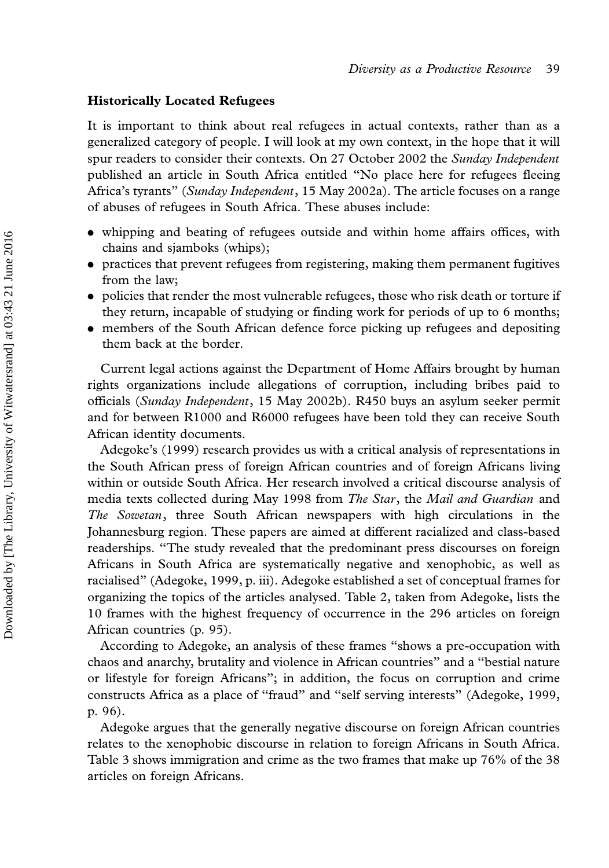#### Historically Located Refugees

It is important to think about real refugees in actual contexts, rather than as a generalized category of people. I will look at my own context, in the hope that it will spur readers to consider their contexts. On 27 October 2002 the Sunday Independent published an article in South Africa entitled ''No place here for refugees fleeing Africa's tyrants'' (Sunday Independent, 15 May 2002a). The article focuses on a range of abuses of refugees in South Africa. These abuses include:

- . whipping and beating of refugees outside and within home affairs offices, with chains and sjamboks (whips);
- . practices that prevent refugees from registering, making them permanent fugitives from the law;
- . policies that render the most vulnerable refugees, those who risk death or torture if they return, incapable of studying or finding work for periods of up to 6 months;
- . members of the South African defence force picking up refugees and depositing them back at the border.

Current legal actions against the Department of Home Affairs brought by human rights organizations include allegations of corruption, including bribes paid to officials (Sunday Independent, 15 May 2002b). R450 buys an asylum seeker permit and for between R1000 and R6000 refugees have been told they can receive South African identity documents.

Adegoke's (1999) research provides us with a critical analysis of representations in the South African press of foreign African countries and of foreign Africans living within or outside South Africa. Her research involved a critical discourse analysis of media texts collected during May 1998 from The Star, the Mail and Guardian and The Sowetan, three South African newspapers with high circulations in the Johannesburg region. These papers are aimed at different racialized and class-based readerships. ''The study revealed that the predominant press discourses on foreign Africans in South Africa are systematically negative and xenophobic, as well as racialised'' (Adegoke, 1999, p. iii). Adegoke established a set of conceptual frames for organizing the topics of the articles analysed. Table 2, taken from Adegoke, lists the 10 frames with the highest frequency of occurrence in the 296 articles on foreign African countries (p. 95).

According to Adegoke, an analysis of these frames ''shows a pre-occupation with chaos and anarchy, brutality and violence in African countries'' and a ''bestial nature or lifestyle for foreign Africans''; in addition, the focus on corruption and crime constructs Africa as a place of ''fraud'' and ''self serving interests'' (Adegoke, 1999, p. 96).

Adegoke argues that the generally negative discourse on foreign African countries relates to the xenophobic discourse in relation to foreign Africans in South Africa. Table 3 shows immigration and crime as the two frames that make up 76% of the 38 articles on foreign Africans.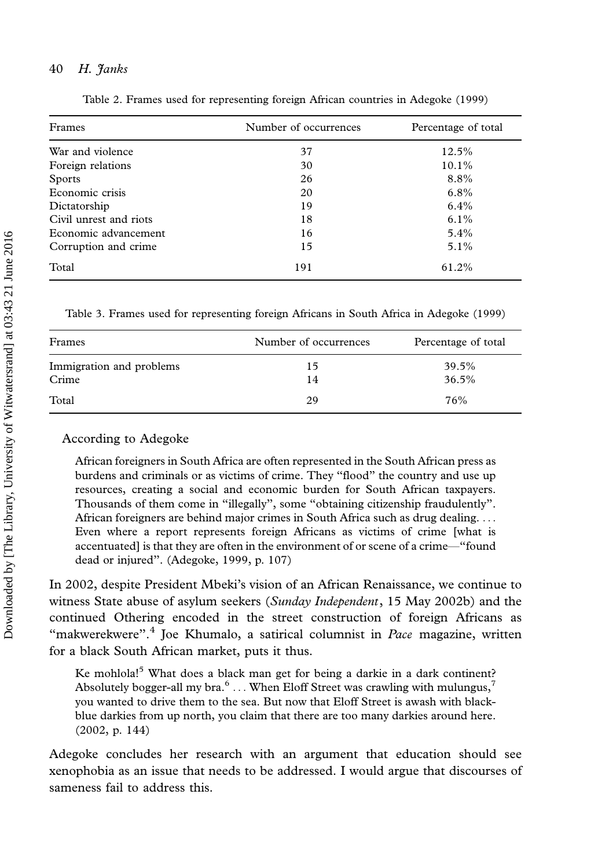#### 40 H. Janks

| Frames                 | Number of occurrences | Percentage of total |
|------------------------|-----------------------|---------------------|
| War and violence       | 37                    | 12.5%               |
| Foreign relations      | 30                    | 10.1%               |
| <b>Sports</b>          | 26                    | 8.8%                |
| Economic crisis        | 20                    | $6.8\%$             |
| Dictatorship           | 19                    | $6.4\%$             |
| Civil unrest and riots | 18                    | $6.1\%$             |
| Economic advancement   | 16                    | $5.4\%$             |
| Corruption and crime   | 15                    | $5.1\%$             |
| Total                  | 191                   | 61.2%               |

Table 2. Frames used for representing foreign African countries in Adegoke (1999)

Table 3. Frames used for representing foreign Africans in South Africa in Adegoke (1999)

| Frames                            | Number of occurrences | Percentage of total |
|-----------------------------------|-----------------------|---------------------|
| Immigration and problems<br>Crime | 15<br>14              | 39.5%<br>36.5%      |
| Total                             | 29                    | 76%                 |

#### According to Adegoke

African foreigners in South Africa are often represented in the South African press as burdens and criminals or as victims of crime. They ''flood'' the country and use up resources, creating a social and economic burden for South African taxpayers. Thousands of them come in ''illegally'', some ''obtaining citizenship fraudulently''. African foreigners are behind major crimes in South Africa such as drug dealing. ... Even where a report represents foreign Africans as victims of crime [what is accentuated] is that they are often in the environment of or scene of a crime—"found dead or injured''. (Adegoke, 1999, p. 107)

In 2002, despite President Mbeki's vision of an African Renaissance, we continue to witness State abuse of asylum seekers (Sunday Independent, 15 May 2002b) and the continued Othering encoded in the street construction of foreign Africans as "makwerekwere". $4$  Joe Khumalo, a satirical columnist in Pace magazine, written for a black South African market, puts it thus.

Ke mohlola!<sup>5</sup> What does a black man get for being a darkie in a dark continent? Absolutely bogger-all my bra.<sup>6</sup> ... When Eloff Street was crawling with mulungus,<sup>7</sup> you wanted to drive them to the sea. But now that Eloff Street is awash with blackblue darkies from up north, you claim that there are too many darkies around here. (2002, p. 144)

Adegoke concludes her research with an argument that education should see xenophobia as an issue that needs to be addressed. I would argue that discourses of sameness fail to address this.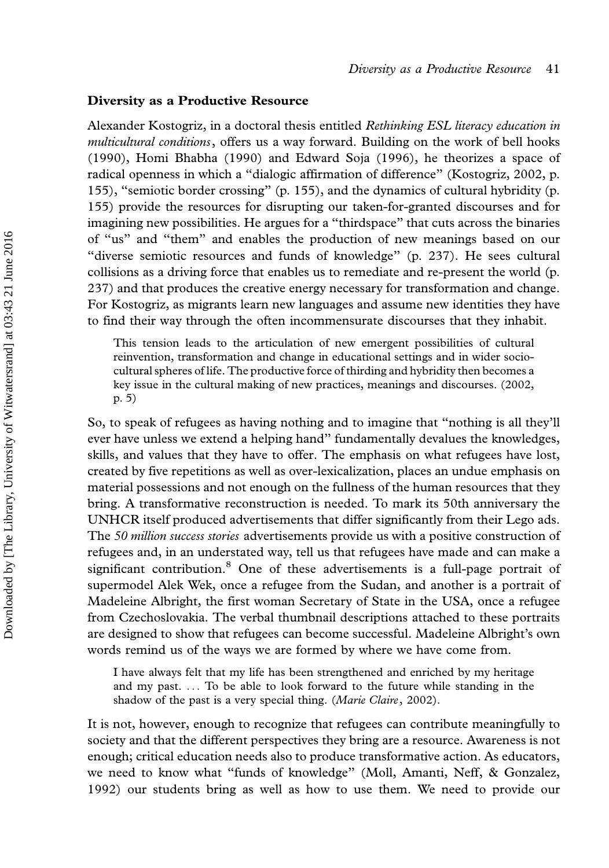### Diversity as a Productive Resource

Alexander Kostogriz, in a doctoral thesis entitled Rethinking ESL literacy education in multicultural conditions, offers us a way forward. Building on the work of bell hooks (1990), Homi Bhabha (1990) and Edward Soja (1996), he theorizes a space of radical openness in which a "dialogic affirmation of difference" (Kostogriz, 2002, p. 155), ''semiotic border crossing'' (p. 155), and the dynamics of cultural hybridity (p. 155) provide the resources for disrupting our taken-for-granted discourses and for imagining new possibilities. He argues for a ''thirdspace'' that cuts across the binaries of ''us'' and ''them'' and enables the production of new meanings based on our ''diverse semiotic resources and funds of knowledge'' (p. 237). He sees cultural collisions as a driving force that enables us to remediate and re-present the world (p. 237) and that produces the creative energy necessary for transformation and change. For Kostogriz, as migrants learn new languages and assume new identities they have to find their way through the often incommensurate discourses that they inhabit.

This tension leads to the articulation of new emergent possibilities of cultural reinvention, transformation and change in educational settings and in wider sociocultural spheres of life. The productive force of thirding and hybridity then becomes a key issue in the cultural making of new practices, meanings and discourses. (2002, p. 5)

So, to speak of refugees as having nothing and to imagine that ''nothing is all they'll ever have unless we extend a helping hand'' fundamentally devalues the knowledges, skills, and values that they have to offer. The emphasis on what refugees have lost, created by five repetitions as well as over-lexicalization, places an undue emphasis on material possessions and not enough on the fullness of the human resources that they bring. A transformative reconstruction is needed. To mark its 50th anniversary the UNHCR itself produced advertisements that differ significantly from their Lego ads. The 50 million success stories advertisements provide us with a positive construction of refugees and, in an understated way, tell us that refugees have made and can make a significant contribution.<sup>8</sup> One of these advertisements is a full-page portrait of supermodel Alek Wek, once a refugee from the Sudan, and another is a portrait of Madeleine Albright, the first woman Secretary of State in the USA, once a refugee from Czechoslovakia. The verbal thumbnail descriptions attached to these portraits are designed to show that refugees can become successful. Madeleine Albright's own words remind us of the ways we are formed by where we have come from.

I have always felt that my life has been strengthened and enriched by my heritage and my past. ... To be able to look forward to the future while standing in the shadow of the past is a very special thing. (Marie Claire, 2002).

It is not, however, enough to recognize that refugees can contribute meaningfully to society and that the different perspectives they bring are a resource. Awareness is not enough; critical education needs also to produce transformative action. As educators, we need to know what ''funds of knowledge'' (Moll, Amanti, Neff, & Gonzalez, 1992) our students bring as well as how to use them. We need to provide our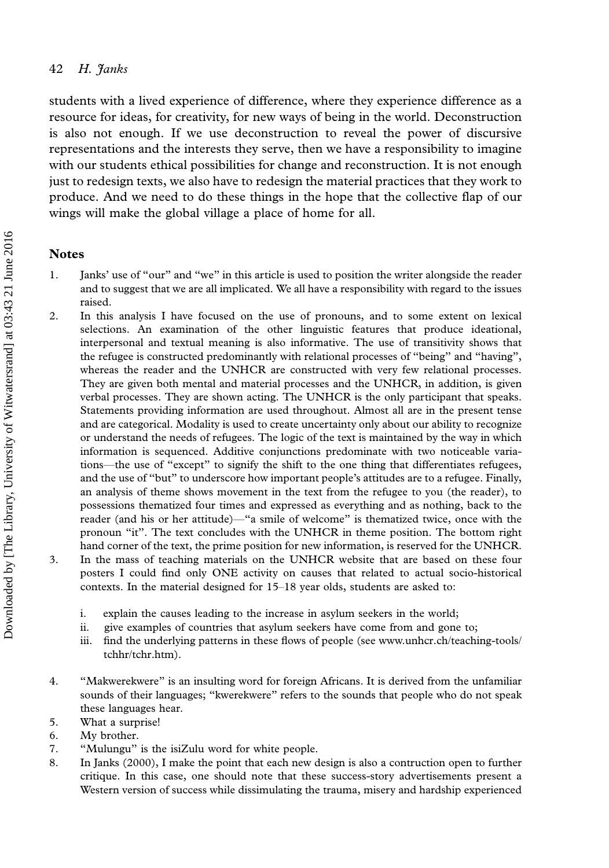students with a lived experience of difference, where they experience difference as a resource for ideas, for creativity, for new ways of being in the world. Deconstruction is also not enough. If we use deconstruction to reveal the power of discursive representations and the interests they serve, then we have a responsibility to imagine with our students ethical possibilities for change and reconstruction. It is not enough just to redesign texts, we also have to redesign the material practices that they work to produce. And we need to do these things in the hope that the collective flap of our wings will make the global village a place of home for all.

## Notes

- 1. Janks' use of ''our'' and ''we'' in this article is used to position the writer alongside the reader and to suggest that we are all implicated. We all have a responsibility with regard to the issues raised.
- 2. In this analysis I have focused on the use of pronouns, and to some extent on lexical selections. An examination of the other linguistic features that produce ideational, interpersonal and textual meaning is also informative. The use of transitivity shows that the refugee is constructed predominantly with relational processes of ''being'' and ''having'', whereas the reader and the UNHCR are constructed with very few relational processes. They are given both mental and material processes and the UNHCR, in addition, is given verbal processes. They are shown acting. The UNHCR is the only participant that speaks. Statements providing information are used throughout. Almost all are in the present tense and are categorical. Modality is used to create uncertainty only about our ability to recognize or understand the needs of refugees. The logic of the text is maintained by the way in which information is sequenced. Additive conjunctions predominate with two noticeable variations—the use of "except" to signify the shift to the one thing that differentiates refugees, and the use of ''but'' to underscore how important people's attitudes are to a refugee. Finally, an analysis of theme shows movement in the text from the refugee to you (the reader), to possessions thematized four times and expressed as everything and as nothing, back to the reader (and his or her attitude)—"a smile of welcome" is thematized twice, once with the pronoun ''it''. The text concludes with the UNHCR in theme position. The bottom right hand corner of the text, the prime position for new information, is reserved for the UNHCR. 3. In the mass of teaching materials on the UNHCR website that are based on these four posters I could find only ONE activity on causes that related to actual socio-historical contexts. In the material designed for  $15-18$  year olds, students are asked to:
	- i. explain the causes leading to the increase in asylum seekers in the world;
	- ii. give examples of countries that asylum seekers have come from and gone to;
	- iii. find the underlying patterns in these flows of people (see www.unhcr.ch/teaching-tools/ tchhr/tchr.htm).
- 4. ''Makwerekwere'' is an insulting word for foreign Africans. It is derived from the unfamiliar sounds of their languages; ''kwerekwere'' refers to the sounds that people who do not speak these languages hear.
- 5. What a surprise!
- 6. My brother.
- 7. ''Mulungu'' is the isiZulu word for white people.
- 8. In Janks (2000), I make the point that each new design is also a contruction open to further critique. In this case, one should note that these success-story advertisements present a Western version of success while dissimulating the trauma, misery and hardship experienced